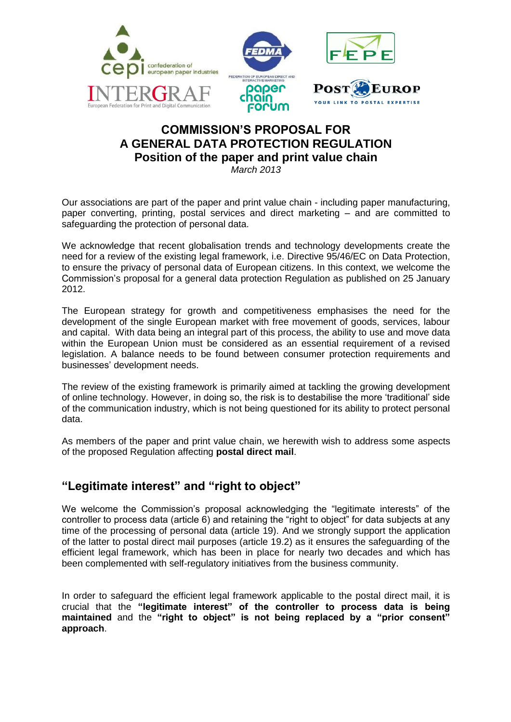

## **COMMISSION'S PROPOSAL FOR A GENERAL DATA PROTECTION REGULATION Position of the paper and print value chain**

*March 2013*

Our associations are part of the paper and print value chain - including paper manufacturing, paper converting, printing, postal services and direct marketing – and are committed to safeguarding the protection of personal data.

We acknowledge that recent globalisation trends and technology developments create the need for a review of the existing legal framework, i.e. Directive 95/46/EC on Data Protection, to ensure the privacy of personal data of European citizens. In this context, we welcome the Commission's proposal for a general data protection Regulation as published on 25 January 2012.

The European strategy for growth and competitiveness emphasises the need for the development of the single European market with free movement of goods, services, labour and capital. With data being an integral part of this process, the ability to use and move data within the European Union must be considered as an essential requirement of a revised legislation. A balance needs to be found between consumer protection requirements and businesses' development needs.

The review of the existing framework is primarily aimed at tackling the growing development of online technology. However, in doing so, the risk is to destabilise the more 'traditional' side of the communication industry, which is not being questioned for its ability to protect personal data.

As members of the paper and print value chain, we herewith wish to address some aspects of the proposed Regulation affecting **postal direct mail**.

## **"Legitimate interest" and "right to object"**

We welcome the Commission's proposal acknowledging the "legitimate interests" of the controller to process data (article 6) and retaining the "right to object" for data subjects at any time of the processing of personal data (article 19). And we strongly support the application of the latter to postal direct mail purposes (article 19.2) as it ensures the safeguarding of the efficient legal framework, which has been in place for nearly two decades and which has been complemented with self-regulatory initiatives from the business community.

In order to safeguard the efficient legal framework applicable to the postal direct mail, it is crucial that the **"legitimate interest" of the controller to process data is being maintained** and the **"right to object" is not being replaced by a "prior consent" approach**.